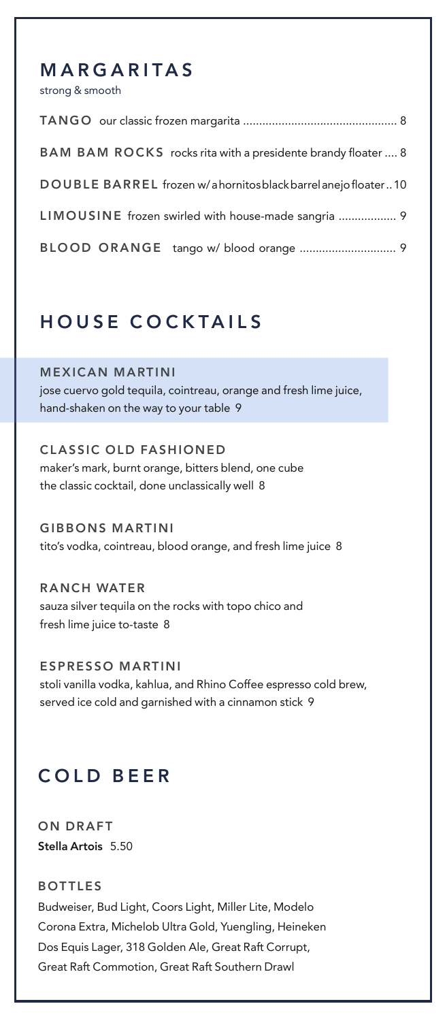## **MARGARITAS**

strong & smooth

| BAM BAM ROCKS rocks rita with a presidente brandy floater  8 |
|--------------------------------------------------------------|
| DOUBLE BARREL frozen w/ahornitos black barrel anejofloater10 |
| LIMOUSINE frozen swirled with house-made sangria  9          |
|                                                              |

# **HOUSE COCKTAILS**

**MEXICAN MARTINI** jose cuervo gold tequila, cointreau, orange and fresh lime juice, hand-shaken on the way to your table 9

**CLASSIC OLD FASHIONED** maker's mark, burnt orange, bitters blend, one cube the classic cocktail, done unclassically well 8

**GIBBONS MARTINI** tito's vodka, cointreau, blood orange, and fresh lime juice 8

**R ANCH WATER** sauza silver tequila on the rocks with topo chico and fresh lime juice to-taste 8

**ESPRESSO MARTINI** stoli vanilla vodka, kahlua, and Rhino Coffee espresso cold brew, served ice cold and garnished with a cinnamon stick 9

# **COLD BEER**

**ON DRAFT Stella Artois** 5.50

#### **BOTTLES**

Budweiser, Bud Light, Coors Light, Miller Lite, Modelo Corona Extra, Michelob Ultra Gold, Yuengling, Heineken Dos Equis Lager, 318 Golden Ale, Great Raft Corrupt, Great Raft Commotion, Great Raft Southern Drawl